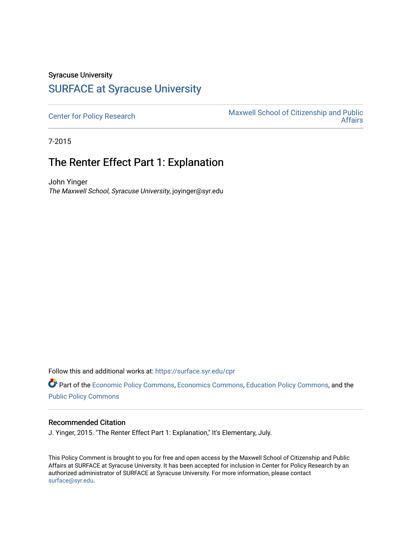## Syracuse University [SURFACE at Syracuse University](https://surface.syr.edu/)

[Center for Policy Research](https://surface.syr.edu/cpr) Maxwell School of Citizenship and Public<br>Affairs [Affairs](https://surface.syr.edu/maxwell) 

7-2015

## The Renter Effect Part 1: Explanation

John Yinger The Maxwell School, Syracuse University, joyinger@syr.edu

Follow this and additional works at: [https://surface.syr.edu/cpr](https://surface.syr.edu/cpr?utm_source=surface.syr.edu%2Fcpr%2F333&utm_medium=PDF&utm_campaign=PDFCoverPages) 

Part of the [Economic Policy Commons](http://network.bepress.com/hgg/discipline/1025?utm_source=surface.syr.edu%2Fcpr%2F333&utm_medium=PDF&utm_campaign=PDFCoverPages), [Economics Commons,](http://network.bepress.com/hgg/discipline/340?utm_source=surface.syr.edu%2Fcpr%2F333&utm_medium=PDF&utm_campaign=PDFCoverPages) [Education Policy Commons](http://network.bepress.com/hgg/discipline/1026?utm_source=surface.syr.edu%2Fcpr%2F333&utm_medium=PDF&utm_campaign=PDFCoverPages), and the [Public Policy Commons](http://network.bepress.com/hgg/discipline/400?utm_source=surface.syr.edu%2Fcpr%2F333&utm_medium=PDF&utm_campaign=PDFCoverPages)

## Recommended Citation

J. Yinger, 2015. "The Renter Effect Part 1: Explanation," It's Elementary, July.

This Policy Comment is brought to you for free and open access by the Maxwell School of Citizenship and Public Affairs at SURFACE at Syracuse University. It has been accepted for inclusion in Center for Policy Research by an authorized administrator of SURFACE at Syracuse University. For more information, please contact [surface@syr.edu.](mailto:surface@syr.edu)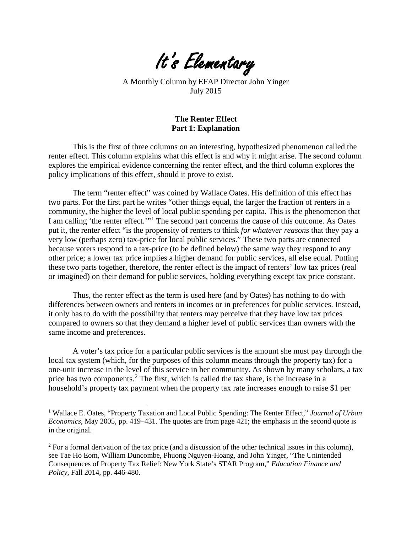It's Elementary

A Monthly Column by EFAP Director John Yinger July 2015

## **The Renter Effect Part 1: Explanation**

This is the first of three columns on an interesting, hypothesized phenomenon called the renter effect. This column explains what this effect is and why it might arise. The second column explores the empirical evidence concerning the renter effect, and the third column explores the policy implications of this effect, should it prove to exist.

The term "renter effect" was coined by Wallace Oates. His definition of this effect has two parts. For the first part he writes "other things equal, the larger the fraction of renters in a community, the higher the level of local public spending per capita. This is the phenomenon that I am calling 'the renter effect.'"[1](#page-4-0) The second part concerns the cause of this outcome. As Oates put it, the renter effect "is the propensity of renters to think *for whatever reasons* that they pay a very low (perhaps zero) tax-price for local public services." These two parts are connected because voters respond to a tax-price (to be defined below) the same way they respond to any other price; a lower tax price implies a higher demand for public services, all else equal. Putting these two parts together, therefore, the renter effect is the impact of renters' low tax prices (real or imagined) on their demand for public services, holding everything except tax price constant.

Thus, the renter effect as the term is used here (and by Oates) has nothing to do with differences between owners and renters in incomes or in preferences for public services. Instead, it only has to do with the possibility that renters may perceive that they have low tax prices compared to owners so that they demand a higher level of public services than owners with the same income and preferences.

A voter's tax price for a particular public services is the amount she must pay through the local tax system (which, for the purposes of this column means through the property tax) for a one-unit increase in the level of this service in her community. As shown by many scholars, a tax price has two components.[2](#page-1-0) The first, which is called the tax share, is the increase in a household's property tax payment when the property tax rate increases enough to raise \$1 per

<sup>1</sup> Wallace E. Oates, "Property Taxation and Local Public Spending: The Renter Effect," *Journal of Urban Economics*, May 2005, pp. 419–431. The quotes are from page 421; the emphasis in the second quote is in the original.

<span id="page-1-0"></span><sup>&</sup>lt;sup>2</sup> For a formal derivation of the tax price (and a discussion of the other technical issues in this column), see Tae Ho Eom, William Duncombe, Phuong Nguyen-Hoang, and John Yinger, "The Unintended Consequences of Property Tax Relief: New York State's STAR Program," *Education Finance and Policy*, Fall 2014, pp. 446-480.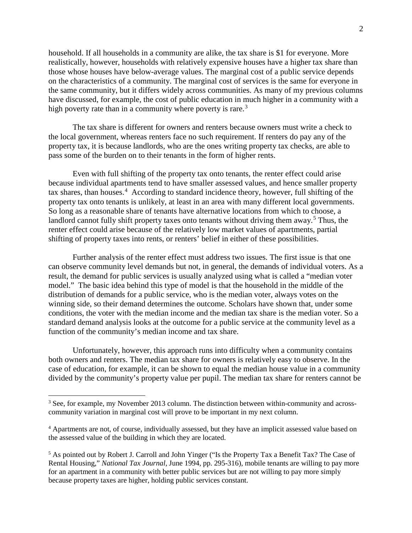household. If all households in a community are alike, the tax share is \$1 for everyone. More realistically, however, households with relatively expensive houses have a higher tax share than those whose houses have below-average values. The marginal cost of a public service depends on the characteristics of a community. The marginal cost of services is the same for everyone in the same community, but it differs widely across communities. As many of my previous columns have discussed, for example, the cost of public education in much higher in a community with a high poverty rate than in a community where poverty is rare.<sup>[3](#page-2-0)</sup>

The tax share is different for owners and renters because owners must write a check to the local government, whereas renters face no such requirement. If renters do pay any of the property tax, it is because landlords, who are the ones writing property tax checks, are able to pass some of the burden on to their tenants in the form of higher rents.

Even with full shifting of the property tax onto tenants, the renter effect could arise because individual apartments tend to have smaller assessed values, and hence smaller property tax shares, than houses.<sup>4</sup> According to standard incidence theory, however, full shifting of the property tax onto tenants is unlikely, at least in an area with many different local governments. So long as a reasonable share of tenants have alternative locations from which to choose, a landlord cannot fully shift property taxes onto tenants without driving them away.<sup>5</sup> Thus, the renter effect could arise because of the relatively low market values of apartments, partial shifting of property taxes into rents, or renters' belief in either of these possibilities.

Further analysis of the renter effect must address two issues. The first issue is that one can observe community level demands but not, in general, the demands of individual voters. As a result, the demand for public services is usually analyzed using what is called a "median voter model." The basic idea behind this type of model is that the household in the middle of the distribution of demands for a public service, who is the median voter, always votes on the winning side, so their demand determines the outcome. Scholars have shown that, under some conditions, the voter with the median income and the median tax share is the median voter. So a standard demand analysis looks at the outcome for a public service at the community level as a function of the community's median income and tax share.

Unfortunately, however, this approach runs into difficulty when a community contains both owners and renters. The median tax share for owners is relatively easy to observe. In the case of education, for example, it can be shown to equal the median house value in a community divided by the community's property value per pupil. The median tax share for renters cannot be

<span id="page-2-0"></span><sup>&</sup>lt;sup>3</sup> See, for example, my November 2013 column. The distinction between within-community and acrosscommunity variation in marginal cost will prove to be important in my next column.

<span id="page-2-1"></span><sup>4</sup> Apartments are not, of course, individually assessed, but they have an implicit assessed value based on the assessed value of the building in which they are located.

<span id="page-2-2"></span><sup>5</sup> As pointed out by Robert J. Carroll and John Yinger ("Is the Property Tax a Benefit Tax? The Case of Rental Housing," *National Tax Journal*, June 1994, pp. 295-316), mobile tenants are willing to pay more for an apartment in a community with better public services but are not willing to pay more simply because property taxes are higher, holding public services constant.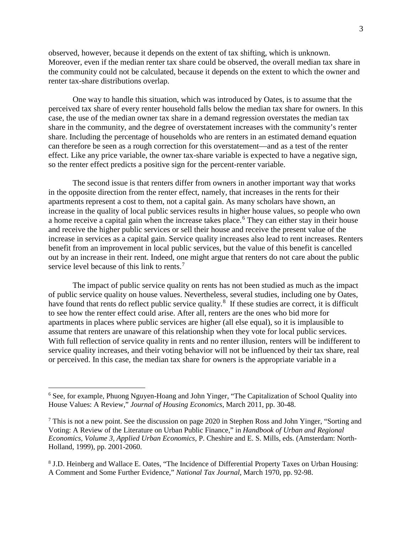observed, however, because it depends on the extent of tax shifting, which is unknown. Moreover, even if the median renter tax share could be observed, the overall median tax share in the community could not be calculated, because it depends on the extent to which the owner and renter tax-share distributions overlap.

One way to handle this situation, which was introduced by Oates, is to assume that the perceived tax share of every renter household falls below the median tax share for owners. In this case, the use of the median owner tax share in a demand regression overstates the median tax share in the community, and the degree of overstatement increases with the community's renter share. Including the percentage of households who are renters in an estimated demand equation can therefore be seen as a rough correction for this overstatement—and as a test of the renter effect. Like any price variable, the owner tax-share variable is expected to have a negative sign, so the renter effect predicts a positive sign for the percent-renter variable.

The second issue is that renters differ from owners in another important way that works in the opposite direction from the renter effect, namely, that increases in the rents for their apartments represent a cost to them, not a capital gain. As many scholars have shown, an increase in the quality of local public services results in higher house values, so people who own a home receive a capital gain when the increase takes place. [6](#page-3-0) They can either stay in their house and receive the higher public services or sell their house and receive the present value of the increase in services as a capital gain. Service quality increases also lead to rent increases. Renters benefit from an improvement in local public services, but the value of this benefit is cancelled out by an increase in their rent. Indeed, one might argue that renters do not care about the public service level because of this link to rents.<sup>[7](#page-3-1)</sup>

The impact of public service quality on rents has not been studied as much as the impact of public service quality on house values. Nevertheless, several studies, including one by Oates, have found that rents do reflect public service quality.<sup>[8](#page-3-2)</sup> If these studies are correct, it is difficult to see how the renter effect could arise. After all, renters are the ones who bid more for apartments in places where public services are higher (all else equal), so it is implausible to assume that renters are unaware of this relationship when they vote for local public services. With full reflection of service quality in rents and no renter illusion, renters will be indifferent to service quality increases, and their voting behavior will not be influenced by their tax share, real or perceived. In this case, the median tax share for owners is the appropriate variable in a

<span id="page-3-0"></span><sup>6</sup> See, for example, Phuong Nguyen-Hoang and John Yinger, "The Capitalization of School Quality into House Values: A Review," *Journal of Housing Economics*, March 2011, pp. 30-48.

<span id="page-3-1"></span><sup>7</sup> This is not a new point. See the discussion on page 2020 in Stephen Ross and John Yinger, "Sorting and Voting: A Review of the Literature on Urban Public Finance," in *Handbook of Urban and Regional Economics, Volume 3, Applied Urban Economics*, P. Cheshire and E. S. Mills, eds. (Amsterdam: North-Holland, 1999), pp. 2001-2060.

<span id="page-3-2"></span><sup>8</sup> J.D. Heinberg and Wallace E. Oates, "The Incidence of Differential Property Taxes on Urban Housing: A Comment and Some Further Evidence," *National Tax Journal*, March 1970, pp. 92-98.